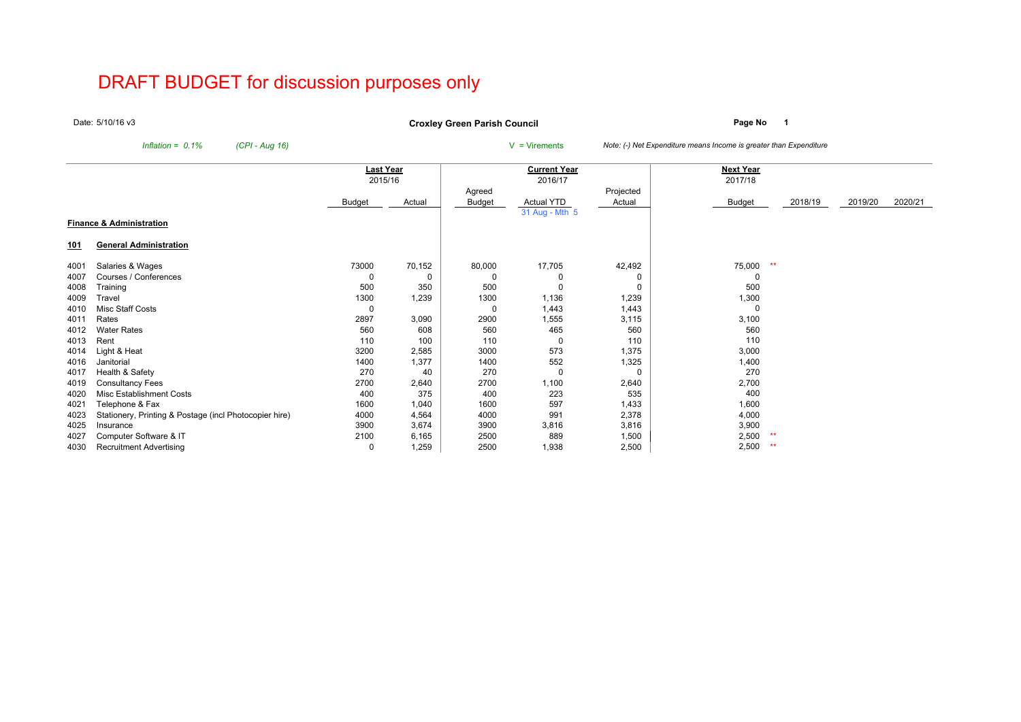# DRAFT BUDGET for discussion purposes only

Date:5/10/16 v3

**Page No <sup>1</sup> Croxley Green Parish Council**

*Inflation = 0.1% (CPI - Aug 16)* <sup>V</sup> = Virements *Note: (-) Net Expenditure means Income is greater than Expenditure*

|             |                                                        | Last Year |        |        | <b>Current Year</b> |           | Next Year     |         |         |         |
|-------------|--------------------------------------------------------|-----------|--------|--------|---------------------|-----------|---------------|---------|---------|---------|
|             |                                                        | 2015/16   |        |        | 2016/17             |           | 2017/18       |         |         |         |
|             |                                                        |           |        | Agreed |                     | Projected |               |         |         |         |
|             |                                                        | Budget    | Actual | Budget | <b>Actual YTD</b>   | Actual    | <b>Budget</b> | 2018/19 | 2019/20 | 2020/21 |
|             |                                                        |           |        |        | 31 Aug - Mth 5      |           |               |         |         |         |
|             | <b>Finance &amp; Administration</b>                    |           |        |        |                     |           |               |         |         |         |
| <u> 101</u> | <b>General Administration</b>                          |           |        |        |                     |           |               |         |         |         |
| 4001        | Salaries & Wages                                       | 73000     | 70,152 | 80,000 | 17,705              | 42,492    | 75,000<br>$*$ |         |         |         |
| 4007        | Courses / Conferences                                  |           | 0      |        |                     | 0         |               |         |         |         |
| 4008        | Training                                               | 500       | 350    | 500    |                     | 0         | 500           |         |         |         |
| 4009        | Travel                                                 | 1300      | 1,239  | 1300   | 1,136               | 1,239     | 1,300         |         |         |         |
| 4010        | Misc Staff Costs                                       |           |        |        | 1,443               | 1,443     |               |         |         |         |
| 4011        | Rates                                                  | 2897      | 3,090  | 2900   | 1,555               | 3,115     | 3,100         |         |         |         |
| 4012        | <b>Water Rates</b>                                     | 560       | 608    | 560    | 465                 | 560       | 560           |         |         |         |
| 4013        | Rent                                                   | 110       | 100    | 110    |                     | 110       | 110           |         |         |         |
| 4014        | Light & Heat                                           | 3200      | 2,585  | 3000   | 573                 | 1,375     | 3,000         |         |         |         |
| 4016        | Janitorial                                             | 1400      | 1,377  | 1400   | 552                 | 1,325     | 1,400         |         |         |         |
| 4017        | Health & Safety                                        | 270       | 40     | 270    |                     | 0         | 270           |         |         |         |
| 4019        | <b>Consultancy Fees</b>                                | 2700      | 2,640  | 2700   | 1,100               | 2,640     | 2,700         |         |         |         |
| 4020        | Misc Establishment Costs                               | 400       | 375    | 400    | 223                 | 535       | 400           |         |         |         |
| 4021        | Telephone & Fax                                        | 1600      | 1,040  | 1600   | 597                 | 1,433     | 1,600         |         |         |         |
| 4023        | Stationery, Printing & Postage (incl Photocopier hire) | 4000      | 4,564  | 4000   | 991                 | 2,378     | 4,000         |         |         |         |
| 4025        | Insurance                                              | 3900      | 3,674  | 3900   | 3,816               | 3,816     | 3,900         |         |         |         |
| 4027        | Computer Software & IT                                 | 2100      | 6,165  | 2500   | 889                 | 1,500     | 2,500<br>**   |         |         |         |
| 4030        | <b>Recruitment Advertising</b>                         | 0         | 1,259  | 2500   | 1,938               | 2,500     | 2,500<br>**   |         |         |         |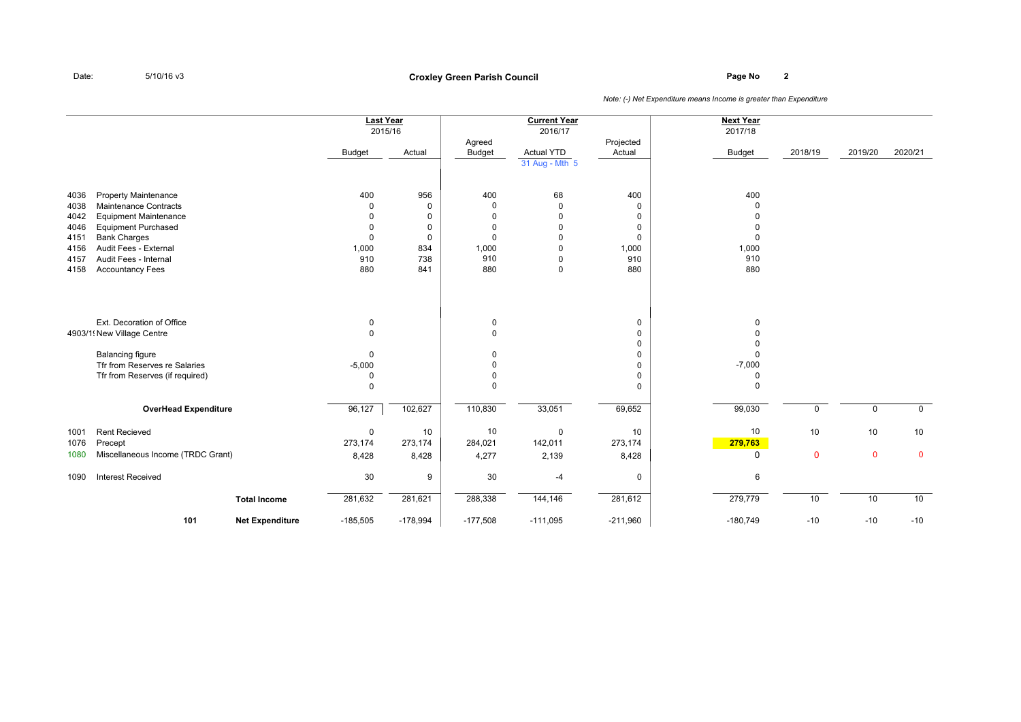## **Page No <sup>2</sup> Croxley Green Parish Council**

|                                                              |                                                                                                                                                                                                                               |                        | <b>Last Year</b><br>2015/16<br>Budget                                             | Actual                                                 | Agreed<br>Budget                               | <b>Current Year</b><br>2016/17<br>Actual YTD<br>31 Aug - Mth 5                                           | Projected<br>Actual                                                           | <b>Next Year</b><br>2017/18<br><b>Budget</b>       | 2018/19            | 2019/20           | 2020/21           |
|--------------------------------------------------------------|-------------------------------------------------------------------------------------------------------------------------------------------------------------------------------------------------------------------------------|------------------------|-----------------------------------------------------------------------------------|--------------------------------------------------------|------------------------------------------------|----------------------------------------------------------------------------------------------------------|-------------------------------------------------------------------------------|----------------------------------------------------|--------------------|-------------------|-------------------|
| 4036<br>4038<br>4042<br>4046<br>4151<br>4156<br>4157<br>4158 | <b>Property Maintenance</b><br><b>Maintenance Contracts</b><br><b>Equipment Maintenance</b><br><b>Equipment Purchased</b><br><b>Bank Charges</b><br>Audit Fees - External<br>Audit Fees - Internal<br><b>Accountancy Fees</b> |                        | 400<br>$\Omega$<br>$\Omega$<br>$\mathbf 0$<br>$\mathbf 0$<br>1,000<br>910<br>880  | 956<br>0<br>$\mathbf 0$<br>0<br>0<br>834<br>738<br>841 | 400<br>0<br>0<br>0<br>0<br>1,000<br>910<br>880 | 68<br>$\mathbf 0$<br>$\mathbf 0$<br>$\mathbf 0$<br>$\Omega$<br>$\mathbf 0$<br>$\mathbf 0$<br>$\mathbf 0$ | 400<br>$\Omega$<br>$\Omega$<br>$\Omega$<br>$\mathbf 0$<br>1,000<br>910<br>880 | 400<br>$\Omega$<br>$\Omega$<br>1,000<br>910<br>880 |                    |                   |                   |
|                                                              | Ext. Decoration of Office<br>4903/1! New Village Centre<br><b>Balancing figure</b><br>Tfr from Reserves re Salaries<br>Tfr from Reserves (if required)                                                                        |                        | $\mathbf 0$<br>$\pmb{0}$<br>$\mathbf 0$<br>$-5,000$<br>$\mathbf 0$<br>$\mathbf 0$ |                                                        | 0<br>0<br>0<br>0<br>0<br>$\Omega$              |                                                                                                          | 0<br>$\Omega$<br>$\Omega$<br>0<br>$\Omega$<br>0<br>$\Omega$                   | $\Omega$<br>$-7,000$<br>0<br>$\Omega$              |                    |                   |                   |
|                                                              | <b>OverHead Expenditure</b>                                                                                                                                                                                                   |                        | 96,127                                                                            | 102,627                                                | 110,830                                        | 33,051                                                                                                   | 69,652                                                                        | 99,030                                             | 0                  | $\mathbf 0$       | $\mathbf 0$       |
| 1001<br>1076<br>1080                                         | <b>Rent Recieved</b><br>Precept<br>Miscellaneous Income (TRDC Grant)                                                                                                                                                          |                        | $\mathbf 0$<br>273,174<br>8,428                                                   | 10<br>273,174<br>8,428                                 | 10<br>284,021<br>4,277                         | $\mathbf 0$<br>142,011<br>2,139                                                                          | 10<br>273,174<br>8,428                                                        | 10<br>279,763<br>0                                 | 10<br>$\mathbf{0}$ | 10<br>$\mathbf 0$ | 10<br>$\mathbf 0$ |
| 1090                                                         | <b>Interest Received</b>                                                                                                                                                                                                      |                        | 30                                                                                | 9                                                      | 30                                             | $-4$                                                                                                     | 0                                                                             | 6                                                  |                    |                   |                   |
|                                                              |                                                                                                                                                                                                                               | <b>Total Income</b>    | 281,632                                                                           | 281,621                                                | 288,338                                        | 144,146                                                                                                  | 281,612                                                                       | 279,779                                            | 10                 | 10                | 10                |
|                                                              | 101                                                                                                                                                                                                                           | <b>Net Expenditure</b> | $-185,505$                                                                        | $-178,994$                                             | $-177,508$                                     | $-111,095$                                                                                               | $-211,960$                                                                    | $-180,749$                                         | $-10$              | $-10$             | $-10$             |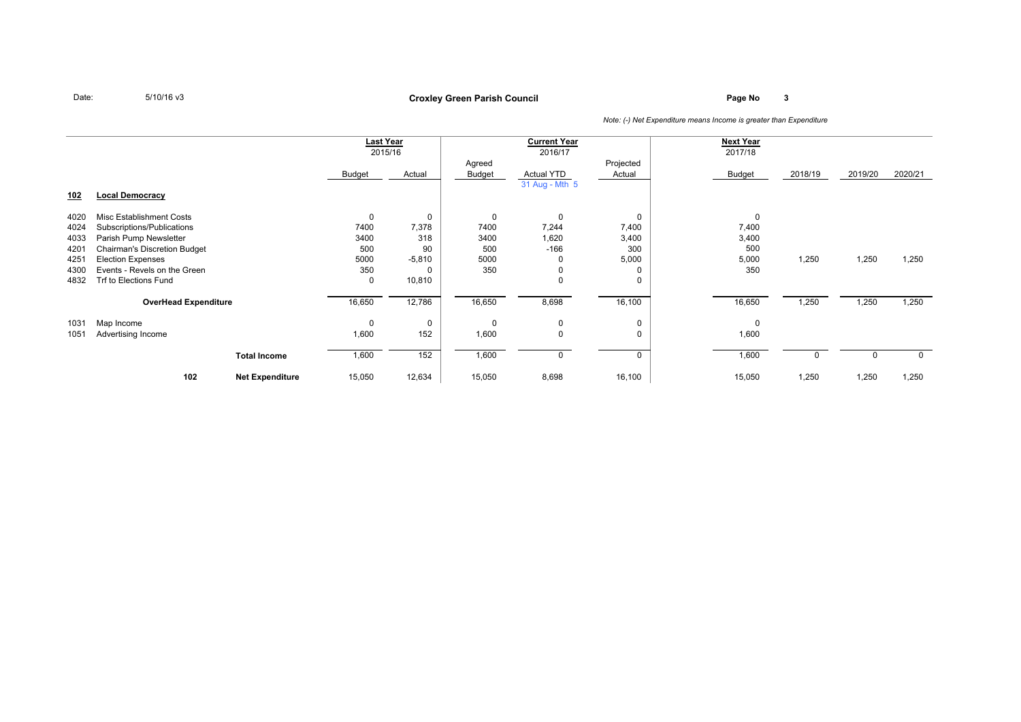**Page No <sup>3</sup> Croxley Green Parish Council**

|            |                                     |                        |        | <b>Last Year</b> |        | <b>Current Year</b> |           | <b>Next Year</b> |          |          |         |
|------------|-------------------------------------|------------------------|--------|------------------|--------|---------------------|-----------|------------------|----------|----------|---------|
|            |                                     |                        |        | 2015/16          |        | 2016/17             |           | 2017/18          |          |          |         |
|            |                                     |                        |        |                  | Agreed |                     | Projected |                  |          |          |         |
|            |                                     |                        | Budget | Actual           | Budget | <b>Actual YTD</b>   | Actual    | <b>Budget</b>    | 2018/19  | 2019/20  | 2020/21 |
|            |                                     |                        |        |                  |        | 31 Aug - Mth 5      |           |                  |          |          |         |
| <u>102</u> | <b>Local Democracy</b>              |                        |        |                  |        |                     |           |                  |          |          |         |
|            |                                     |                        |        |                  |        |                     |           |                  |          |          |         |
| 4020       | Misc Establishment Costs            |                        | 0      | 0                | 0      | $\mathbf 0$         | 0         | $\mathbf 0$      |          |          |         |
| 4024       | Subscriptions/Publications          |                        | 7400   | 7,378            | 7400   | 7,244               | 7,400     | 7,400            |          |          |         |
| 4033       | Parish Pump Newsletter              |                        | 3400   | 318              | 3400   | 1,620               | 3,400     | 3,400            |          |          |         |
| 4201       | <b>Chairman's Discretion Budget</b> |                        | 500    | 90               | 500    | $-166$              | 300       | 500              |          |          |         |
| 4251       | <b>Election Expenses</b>            |                        | 5000   | $-5,810$         | 5000   | $\Omega$            | 5,000     | 5,000            | 1,250    | 1,250    | 1,250   |
| 4300       | Events - Revels on the Green        |                        | 350    |                  | 350    | $\mathbf 0$         |           | 350              |          |          |         |
| 4832       | Trf to Elections Fund               |                        | 0      | 10,810           |        | $\Omega$            |           |                  |          |          |         |
|            | <b>OverHead Expenditure</b>         |                        | 16,650 | 12,786           | 16,650 | 8,698               | 16,100    | 16,650           | 1,250    | 1,250    | 1,250   |
|            |                                     |                        |        |                  |        |                     |           |                  |          |          |         |
| 1031       | Map Income                          |                        | 0      | 0                | 0      | 0                   | 0         | 0                |          |          |         |
| 1051       | Advertising Income                  |                        | 1,600  | 152              | 1,600  | $\Omega$            | $\Omega$  | 1,600            |          |          |         |
|            |                                     |                        |        |                  |        |                     |           |                  |          |          |         |
|            |                                     | <b>Total Income</b>    | 1,600  | 152              | 1,600  | $\mathbf 0$         | $\Omega$  | 1,600            | $\Omega$ | $\Omega$ |         |
|            |                                     |                        | 15,050 | 12,634           | 15,050 | 8,698               | 16,100    | 15,050           | 1,250    | 1,250    | 1,250   |
|            | 102                                 | <b>Net Expenditure</b> |        |                  |        |                     |           |                  |          |          |         |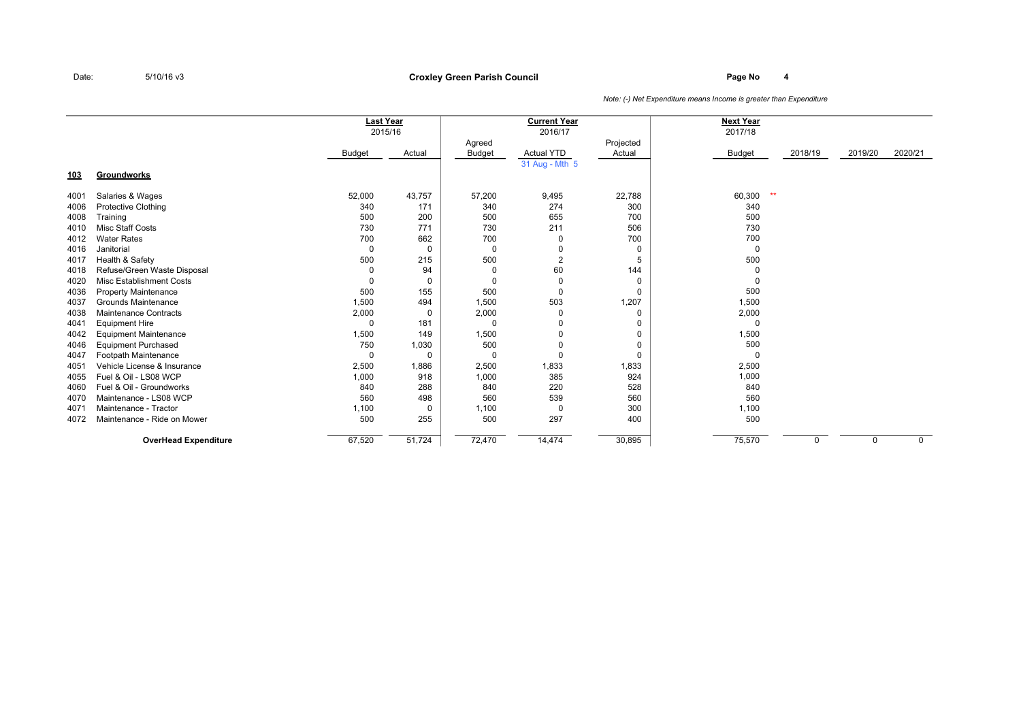### **Page No <sup>4</sup> Croxley Green Parish Council**

|            |                                 | <b>Last Year</b> |          |               | <b>Current Year</b> |           | <b>Next Year</b> |         |         |             |
|------------|---------------------------------|------------------|----------|---------------|---------------------|-----------|------------------|---------|---------|-------------|
|            |                                 |                  | 2015/16  |               | 2016/17             |           | 2017/18          |         |         |             |
|            |                                 |                  |          | Agreed        |                     | Projected |                  |         |         |             |
|            |                                 | <b>Budget</b>    | Actual   | <b>Budget</b> | <b>Actual YTD</b>   | Actual    | <b>Budget</b>    | 2018/19 | 2019/20 | 2020/21     |
|            |                                 |                  |          |               | 31 Aug - Mth 5      |           |                  |         |         |             |
| <u>103</u> | Groundworks                     |                  |          |               |                     |           |                  |         |         |             |
| 4001       | Salaries & Wages                | 52,000           | 43,757   | 57,200        | 9,495               | 22,788    | $**$<br>60,300   |         |         |             |
| 4006       | <b>Protective Clothing</b>      | 340              | 171      | 340           | 274                 | 300       | 340              |         |         |             |
| 4008       | Training                        | 500              | 200      | 500           | 655                 | 700       | 500              |         |         |             |
| 4010       | <b>Misc Staff Costs</b>         | 730              | 771      | 730           | 211                 | 506       | 730              |         |         |             |
| 4012       | <b>Water Rates</b>              | 700              | 662      | 700           | 0                   | 700       | 700              |         |         |             |
| 4016       | Janitorial                      | 0                | $\Omega$ | 0             | 0                   | 0         | 0                |         |         |             |
| 4017       | Health & Safety                 | 500              | 215      | 500           | $\overline{2}$      | 5         | 500              |         |         |             |
| 4018       | Refuse/Green Waste Disposal     | $\mathbf 0$      | 94       | 0             | 60                  | 144       |                  |         |         |             |
| 4020       | <b>Misc Establishment Costs</b> | $\Omega$         | $\Omega$ | 0             | 0                   | 0         | 0                |         |         |             |
| 4036       | <b>Property Maintenance</b>     | 500              | 155      | 500           | $\Omega$            | 0         | 500              |         |         |             |
| 4037       | Grounds Maintenance             | 1,500            | 494      | 1,500         | 503                 | 1,207     | 1,500            |         |         |             |
| 4038       | <b>Maintenance Contracts</b>    | 2,000            | $\Omega$ | 2,000         | 0                   | 0         | 2,000            |         |         |             |
| 4041       | <b>Equipment Hire</b>           | $\Omega$         | 181      | $\Omega$      | -0                  | 0         | $\Omega$         |         |         |             |
| 4042       | <b>Equipment Maintenance</b>    | 1,500            | 149      | 1,500         | 0                   | 0         | 1,500            |         |         |             |
| 4046       | <b>Equipment Purchased</b>      | 750              | 1,030    | 500           | $\mathbf 0$         | 0         | 500              |         |         |             |
| 4047       | Footpath Maintenance            | $\Omega$         | $\Omega$ | 0             | 0                   | 0         | $\Omega$         |         |         |             |
| 4051       | Vehicle License & Insurance     | 2,500            | 1,886    | 2,500         | 1,833               | 1,833     | 2,500            |         |         |             |
| 4055       | Fuel & Oil - LS08 WCP           | 1,000            | 918      | 1,000         | 385                 | 924       | 1,000            |         |         |             |
| 4060       | Fuel & Oil - Groundworks        | 840              | 288      | 840           | 220                 | 528       | 840              |         |         |             |
| 4070       | Maintenance - LS08 WCP          | 560              | 498      | 560           | 539                 | 560       | 560              |         |         |             |
| 4071       | Maintenance - Tractor           | 1,100            | $\Omega$ | 1,100         | 0                   | 300       | 1,100            |         |         |             |
| 4072       | Maintenance - Ride on Mower     | 500              | 255      | 500           | 297                 | 400       | 500              |         |         |             |
|            | <b>OverHead Expenditure</b>     | 67,520           | 51,724   | 72,470        | 14,474              | 30,895    | 75,570           | 0       | 0       | $\mathbf 0$ |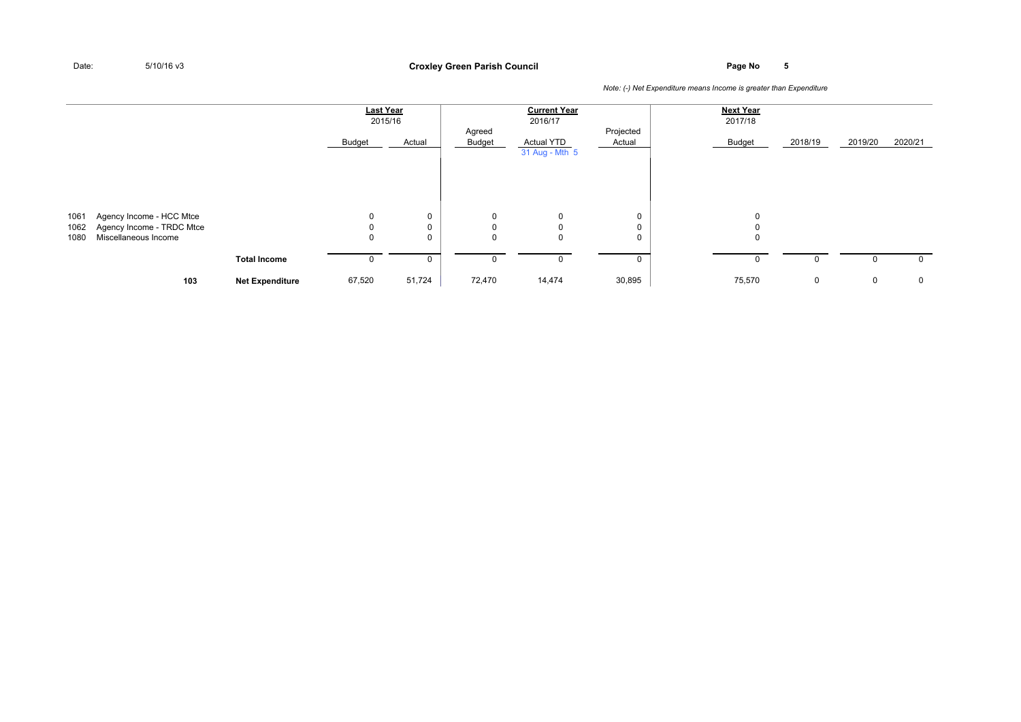### **Page No <sup>5</sup> Croxley Green Parish Council**

|              |                                                   |                        | <b>Last Year</b> | 2015/16  |                  | <b>Current Year</b><br>2016/17      |                     | <b>Next Year</b><br>2017/18 |         |         |             |
|--------------|---------------------------------------------------|------------------------|------------------|----------|------------------|-------------------------------------|---------------------|-----------------------------|---------|---------|-------------|
|              |                                                   |                        | Budget           | Actual   | Agreed<br>Budget | <b>Actual YTD</b><br>31 Aug - Mth 5 | Projected<br>Actual | Budget                      | 2018/19 | 2019/20 | 2020/21     |
| 1061         | Agency Income - HCC Mtce                          |                        | $\mathbf 0$      | 0        | 0                | $\mathbf 0$                         | 0                   | 0                           |         |         |             |
| 1062<br>1080 | Agency Income - TRDC Mtce<br>Miscellaneous Income |                        | 0<br>0           | 0<br>0   | $\mathbf 0$<br>0 | $\mathbf{0}$<br>$\mathbf{0}$        | 0<br>0              | 0<br>$\mathbf 0$            |         |         |             |
|              |                                                   | <b>Total Income</b>    | 0                | $\Omega$ | 0                | 0                                   | 0                   | 0                           | 0       | 0       | 0           |
|              | 103                                               | <b>Net Expenditure</b> | 67,520           | 51,724   | 72,470           | 14,474                              | 30,895              | 75,570                      | 0       | 0       | $\mathbf 0$ |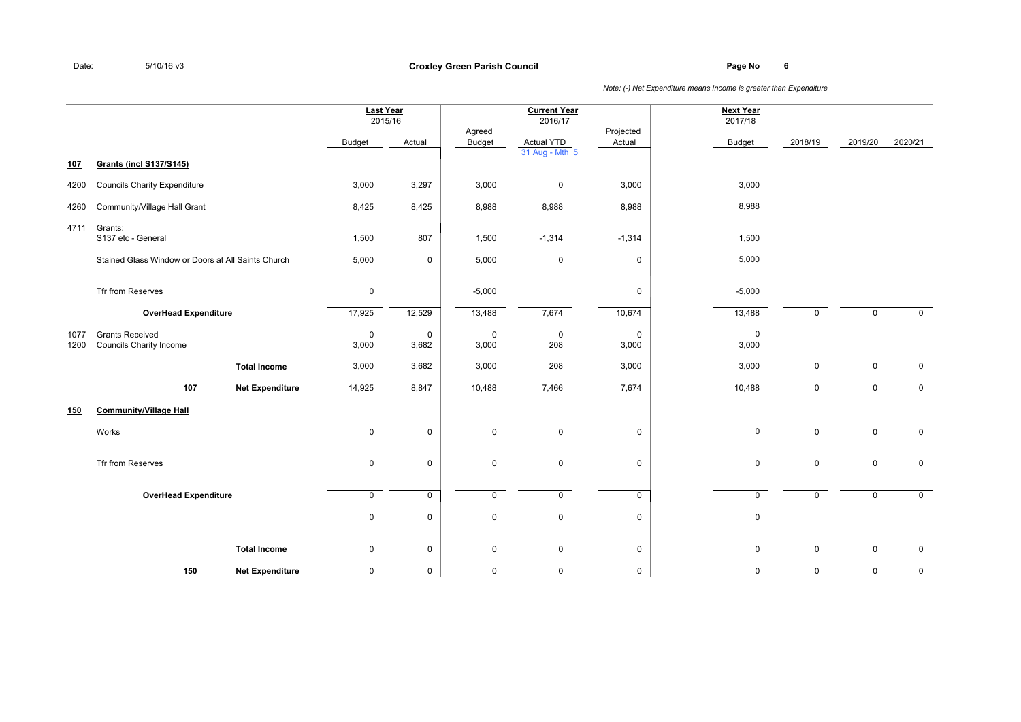**Page No <sup>6</sup> Croxley Green Parish Council**

|              |                                                          |                        | <b>Last Year</b>     | 2015/16              |                      | <b>Current Year</b><br>2016/17      |                      | <b>Next Year</b><br>2017/18 |             |             |             |
|--------------|----------------------------------------------------------|------------------------|----------------------|----------------------|----------------------|-------------------------------------|----------------------|-----------------------------|-------------|-------------|-------------|
|              |                                                          |                        | <b>Budget</b>        | Actual               | Agreed<br>Budget     | <b>Actual YTD</b><br>31 Aug - Mth 5 | Projected<br>Actual  | Budget                      | 2018/19     | 2019/20     | 2020/21     |
| 107          | <b>Grants (incl S137/S145)</b>                           |                        |                      |                      |                      |                                     |                      |                             |             |             |             |
| 4200         | <b>Councils Charity Expenditure</b>                      |                        | 3,000                | 3,297                | 3,000                | $\mathbf 0$                         | 3,000                | 3,000                       |             |             |             |
| 4260         | Community/Village Hall Grant                             |                        | 8,425                | 8,425                | 8,988                | 8,988                               | 8,988                | 8,988                       |             |             |             |
| 4711         | Grants:<br>S137 etc - General                            |                        | 1,500                | 807                  | 1,500                | $-1,314$                            | $-1,314$             | 1,500                       |             |             |             |
|              | Stained Glass Window or Doors at All Saints Church       |                        | 5,000                | $\mathbf 0$          | 5,000                | $\mathbf 0$                         | 0                    | 5,000                       |             |             |             |
|              | Tfr from Reserves                                        |                        | $\mathbf 0$          |                      | $-5,000$             |                                     | 0                    | $-5,000$                    |             |             |             |
|              | <b>OverHead Expenditure</b>                              |                        | 17,925               | 12,529               | 13,488               | 7,674                               | 10,674               | 13,488                      | $\mathbf 0$ | 0           | $\mathbf 0$ |
| 1077<br>1200 | <b>Grants Received</b><br><b>Councils Charity Income</b> |                        | $\mathbf 0$<br>3,000 | $\mathbf 0$<br>3,682 | $\mathbf 0$<br>3,000 | $\overline{0}$<br>208               | $\mathbf 0$<br>3,000 | $\mathbf 0$<br>3,000        |             |             |             |
|              |                                                          | <b>Total Income</b>    | 3,000                | 3,682                | 3,000                | 208                                 | 3,000                | 3,000                       | $\Omega$    | $\mathbf 0$ | $\mathbf 0$ |
|              | 107                                                      | <b>Net Expenditure</b> | 14,925               | 8,847                | 10,488               | 7,466                               | 7,674                | 10,488                      | $\mathbf 0$ | $\mathbf 0$ | $\mathbf 0$ |
| <u>150</u>   | <b>Community/Village Hall</b>                            |                        |                      |                      |                      |                                     |                      |                             |             |             |             |
|              | Works                                                    |                        | $\pmb{0}$            | $\mathbf 0$          | $\mathsf{O}$         | $\mathbf 0$                         | 0                    | $\pmb{0}$                   | $\mathbf 0$ | $\pmb{0}$   | $\mathbf 0$ |
|              | Tfr from Reserves                                        |                        | $\mathbf 0$          | $\mathbf 0$          | 0                    | $\overline{0}$                      | 0                    | $\mathbf 0$                 | $\mathbf 0$ | 0           | $\mathbf 0$ |
|              | <b>OverHead Expenditure</b>                              |                        | $\mathbf 0$          | $\mathbf 0$          | $\mathsf{O}$         | $\mathbf 0$                         | $\overline{0}$       | $\mathbf 0$                 | $\mathbf 0$ | $\mathbf 0$ | $\mathbf 0$ |
|              |                                                          |                        | $\pmb{0}$            | $\mathsf 0$          | $\mathsf{O}$         | $\mathbf 0$                         | 0                    | $\mathbf 0$                 |             |             |             |
|              |                                                          | <b>Total Income</b>    | $\mathbf 0$          | $\mathbf 0$          | $\mathsf{O}$         | $\mathbf 0$                         | $\mathbf 0$          | $\mathbf 0$                 | $\mathbf 0$ | 0           | $\mathbf 0$ |
|              | 150                                                      | <b>Net Expenditure</b> | $\mathbf 0$          | $\mathsf 0$          | 0                    | $\pmb{0}$                           | 0                    | $\pmb{0}$                   | 0           | 0           | 0           |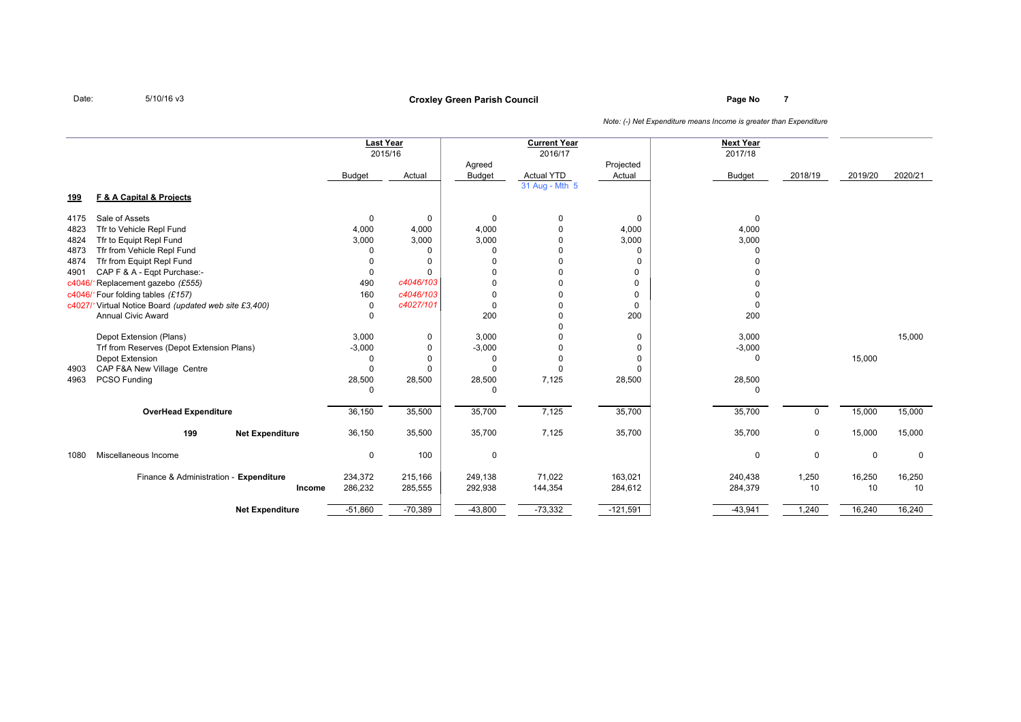# **Page No <sup>7</sup> Croxley Green Parish Council**

|            |                                                       |               | <b>Last Year</b><br>2015/16 |               | <b>Current Year</b><br>2016/17 |            | <b>Next Year</b><br>2017/18 |         |         |         |
|------------|-------------------------------------------------------|---------------|-----------------------------|---------------|--------------------------------|------------|-----------------------------|---------|---------|---------|
|            |                                                       |               |                             | Agreed        |                                | Projected  |                             |         |         |         |
|            |                                                       | <b>Budget</b> | Actual                      | <b>Budget</b> | <b>Actual YTD</b>              | Actual     | <b>Budget</b>               | 2018/19 | 2019/20 | 2020/21 |
|            |                                                       |               |                             |               | 31 Aug - Mth 5                 |            |                             |         |         |         |
| <u>199</u> | F & A Capital & Projects                              |               |                             |               |                                |            |                             |         |         |         |
| 4175       | Sale of Assets                                        | 0             | 0                           | 0             | 0                              | 0          | $\mathbf 0$                 |         |         |         |
| 4823       | Tfr to Vehicle Repl Fund                              | 4,000         | 4,000                       | 4,000         |                                | 4,000      | 4,000                       |         |         |         |
| 4824       | Tfr to Equipt Repl Fund                               | 3,000         | 3,000                       | 3,000         |                                | 3,000      | 3,000                       |         |         |         |
| 4873       | Tfr from Vehicle Repl Fund                            | $\Omega$      | 0                           | $\Omega$      |                                | $\Omega$   |                             |         |         |         |
| 4874       | Tfr from Equipt Repl Fund                             | U             | 0                           | $\Omega$      |                                | $\Omega$   |                             |         |         |         |
| 4901       | CAP F & A - Eqpt Purchase:-                           | 0             | $\Omega$                    | $\Omega$      |                                | 0          |                             |         |         |         |
| c4046/     | Replacement gazebo (£555)                             | 490           | c4046/103                   | $\Omega$      |                                | 0          |                             |         |         |         |
|            | c4046/1Four folding tables (£157)                     | 160           | c4046/103                   | $\Omega$      |                                | 0          |                             |         |         |         |
|            | c4027/1Virtual Notice Board (updated web site £3,400) | 0             | c4027/101                   | 0             |                                | 0          | $\Omega$                    |         |         |         |
|            | <b>Annual Civic Award</b>                             | 0             |                             | 200           |                                | 200        | 200                         |         |         |         |
|            |                                                       |               |                             |               |                                |            |                             |         |         |         |
|            | Depot Extension (Plans)                               | 3,000         | 0                           | 3,000         |                                | 0          | 3,000                       |         |         | 15,000  |
|            | Trf from Reserves (Depot Extension Plans)             | $-3,000$      | 0                           | $-3,000$      |                                | $\Omega$   | $-3,000$                    |         |         |         |
|            | Depot Extension                                       | 0             | 0                           | 0             | 0                              | 0          | $\Omega$                    |         | 15,000  |         |
| 4903       | CAP F&A New Village Centre                            | 0             | $\Omega$                    | O             | 0                              | $\Omega$   |                             |         |         |         |
| 4963       | PCSO Funding                                          | 28,500        | 28,500                      | 28,500        | 7,125                          | 28,500     | 28,500                      |         |         |         |
|            |                                                       | 0             |                             | O             |                                |            | $\Omega$                    |         |         |         |
|            | <b>OverHead Expenditure</b>                           | 36,150        | 35,500                      | 35,700        | 7,125                          | 35,700     | 35,700                      | 0       | 15,000  | 15,000  |
|            | 199<br><b>Net Expenditure</b>                         | 36,150        | 35,500                      | 35,700        | 7,125                          | 35,700     | 35,700                      | 0       | 15,000  | 15,000  |
| 1080       | Miscellaneous Income                                  | 0             | 100                         | 0             |                                |            | $\mathbf 0$                 | 0       | 0       | 0       |
|            | Finance & Administration - Expenditure                | 234,372       | 215,166                     | 249,138       | 71,022                         | 163.021    | 240.438                     | 1,250   | 16,250  | 16,250  |
|            | Income                                                | 286,232       | 285,555                     | 292,938       | 144,354                        | 284,612    | 284,379                     | 10      | 10      | 10      |
|            | <b>Net Expenditure</b>                                | $-51,860$     | $-70,389$                   | $-43,800$     | $-73,332$                      | $-121,591$ | $-43,941$                   | 1,240   | 16,240  | 16,240  |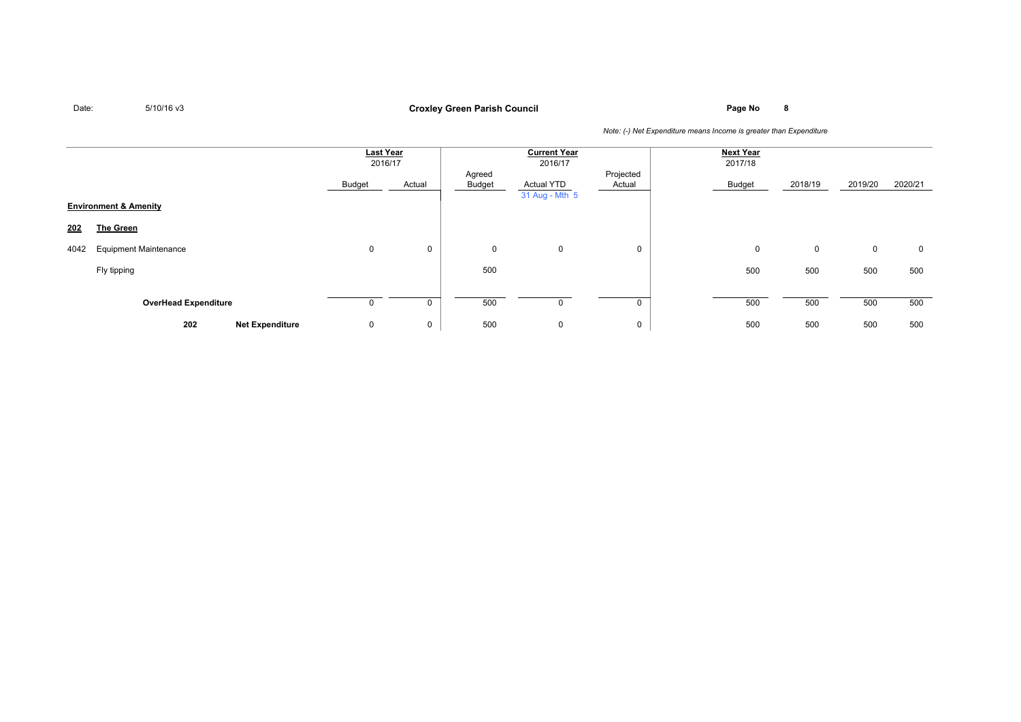# **Page No <sup>8</sup> Croxley Green Parish Council**

|      |                                  | Last Year<br>2016/17 |             |                  | <b>Current Year</b><br>2016/17      |                     | <b>Next Year</b><br>2017/18 |         |             |         |
|------|----------------------------------|----------------------|-------------|------------------|-------------------------------------|---------------------|-----------------------------|---------|-------------|---------|
|      |                                  | Budget               | Actual      | Agreed<br>Budget | <b>Actual YTD</b><br>31 Aug - Mth 5 | Projected<br>Actual | Budget                      | 2018/19 | 2019/20     | 2020/21 |
|      | <b>Environment &amp; Amenity</b> |                      |             |                  |                                     |                     |                             |         |             |         |
| 202  | <b>The Green</b>                 |                      |             |                  |                                     |                     |                             |         |             |         |
| 4042 | <b>Equipment Maintenance</b>     | $\mathbf 0$          | 0           | 0                | $\mathbf 0$                         | 0                   | 0                           | 0       | $\mathbf 0$ | 0       |
|      | Fly tipping                      |                      |             | 500              |                                     |                     | 500                         | 500     | 500         | 500     |
|      | <b>OverHead Expenditure</b>      | 0                    | 0           | 500              |                                     |                     | 500                         | 500     | 500         | 500     |
|      | 202<br><b>Net Expenditure</b>    | $\mathbf 0$          | $\mathbf 0$ | 500              | $\mathbf 0$                         | 0                   | 500                         | 500     | 500         | 500     |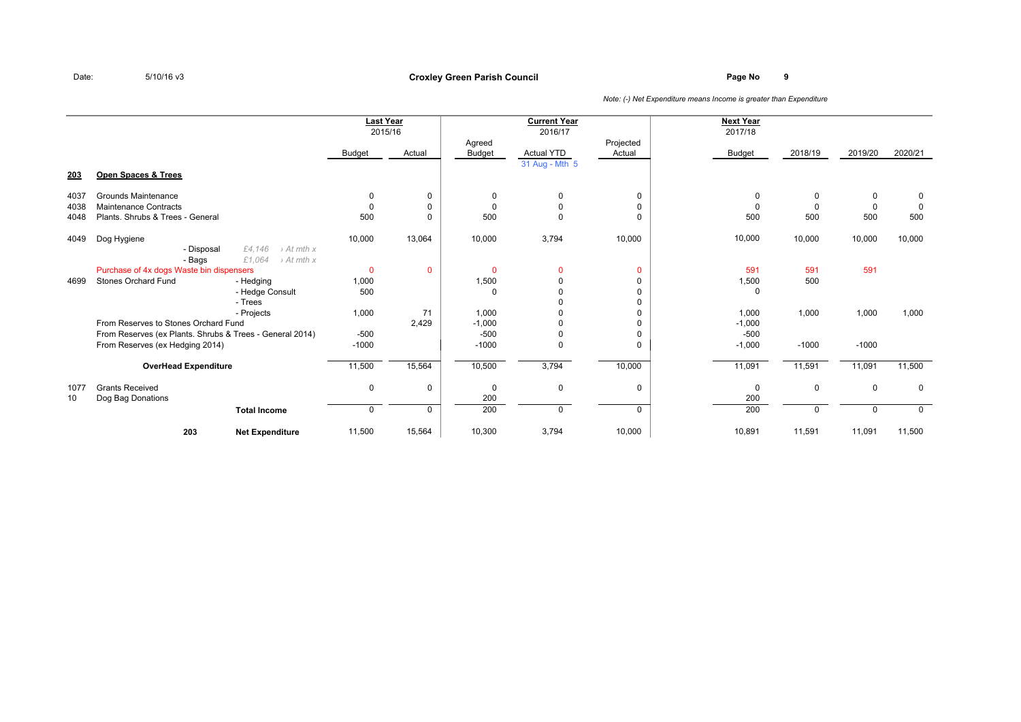### **Page No <sup>9</sup> Croxley Green Parish Council**

|      |                                                                                              |               | Last Year<br>2015/16 |                  | <b>Current Year</b><br>2016/17 |                     | <b>Next Year</b><br>2017/18 |             |             |             |
|------|----------------------------------------------------------------------------------------------|---------------|----------------------|------------------|--------------------------------|---------------------|-----------------------------|-------------|-------------|-------------|
|      |                                                                                              | <b>Budget</b> | Actual               | Agreed<br>Budget | <b>Actual YTD</b>              | Projected<br>Actual | <b>Budget</b>               | 2018/19     | 2019/20     | 2020/21     |
|      |                                                                                              |               |                      |                  | 31 Aug - Mth 5                 |                     |                             |             |             |             |
| 203  | Open Spaces & Trees                                                                          |               |                      |                  |                                |                     |                             |             |             |             |
| 4037 | Grounds Maintenance                                                                          | 0             | 0                    | $\Omega$         | $\Omega$                       | 0                   | $\Omega$                    | 0           | 0           | 0           |
| 4038 | Maintenance Contracts                                                                        | 0             | 0                    | $\Omega$         | 0                              | 0                   | $\Omega$                    | $\mathbf 0$ | 0           | $\Omega$    |
| 4048 | Plants, Shrubs & Trees - General                                                             | 500           | 0                    | 500              | $\Omega$                       | $\Omega$            | 500                         | 500         | 500         | 500         |
| 4049 | Dog Hygiene                                                                                  | 10,000        | 13,064               | 10,000           | 3,794                          | 10,000              | 10,000                      | 10,000      | 10,000      | 10,000      |
|      | £4.146<br>$\rightarrow$ At mth x<br>- Disposal<br>£1,064<br>$\rightarrow$ At mth x<br>- Bags |               |                      |                  |                                |                     |                             |             |             |             |
|      | Purchase of 4x dogs Waste bin dispensers                                                     | $\mathbf{0}$  | $\mathbf{0}$         | $\Omega$         | $\Omega$                       | $\Omega$            | 591                         | 591         | 591         |             |
| 4699 | <b>Stones Orchard Fund</b><br>- Hedging                                                      | 1,000         |                      | 1,500            | $\Omega$                       | <sup>0</sup>        | 1,500                       | 500         |             |             |
|      | - Hedge Consult                                                                              | 500           |                      | $\Omega$         | $\Omega$                       | <sup>0</sup>        | $\Omega$                    |             |             |             |
|      | - Trees                                                                                      |               |                      |                  |                                |                     |                             |             |             |             |
|      | - Projects                                                                                   | 1,000         | 71                   | 1,000            |                                | 0                   | 1,000                       | 1,000       | 1,000       | 1,000       |
|      | From Reserves to Stones Orchard Fund                                                         |               | 2,429                | $-1,000$         | U                              | <sup>0</sup>        | $-1,000$                    |             |             |             |
|      | From Reserves (ex Plants. Shrubs & Trees - General 2014)                                     | $-500$        |                      | $-500$           | 0                              | $\Omega$            | $-500$                      |             |             |             |
|      | From Reserves (ex Hedging 2014)                                                              | $-1000$       |                      | $-1000$          | $\Omega$                       | $\Omega$            | $-1,000$                    | $-1000$     | $-1000$     |             |
|      | <b>OverHead Expenditure</b>                                                                  | 11,500        | 15,564               | 10,500           | 3,794                          | 10,000              | 11,091                      | 11,591      | 11,091      | 11,500      |
| 1077 | <b>Grants Received</b>                                                                       | 0             | 0                    | 0                | 0                              | 0                   | $\mathbf 0$                 | 0           | $\mathbf 0$ | 0           |
| 10   | Dog Bag Donations                                                                            |               |                      | 200              |                                |                     | 200                         |             |             |             |
|      | <b>Total Income</b>                                                                          | 0             | $\mathbf 0$          | 200              | $\Omega$                       | 0                   | 200                         | $\Omega$    | $\Omega$    | $\mathbf 0$ |
|      | 203<br><b>Net Expenditure</b>                                                                | 11,500        | 15,564               | 10,300           | 3,794                          | 10,000              | 10,891                      | 11,591      | 11,091      | 11,500      |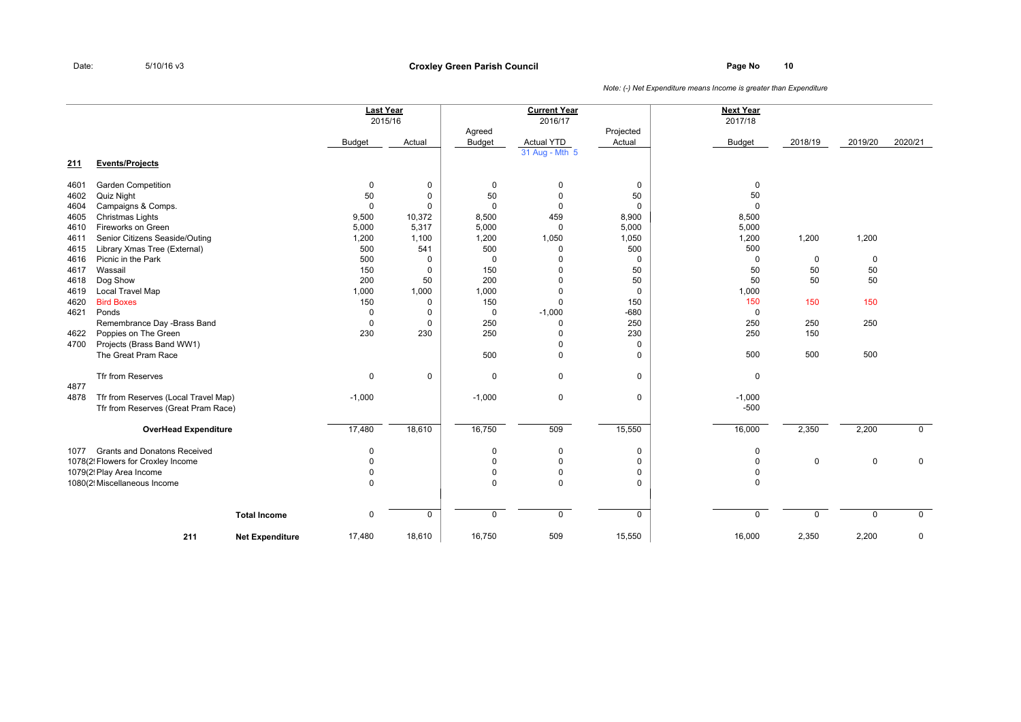### **Page No <sup>10</sup> Croxley Green Parish Council**

|      |                                      |                        |               | <b>Last Year</b><br>2015/16 |                         | <b>Current Year</b><br>2016/17 |                     | <b>Next Year</b><br>2017/18 |             |             |             |
|------|--------------------------------------|------------------------|---------------|-----------------------------|-------------------------|--------------------------------|---------------------|-----------------------------|-------------|-------------|-------------|
|      |                                      |                        | <b>Budget</b> | Actual                      | Agreed<br><b>Budget</b> | <b>Actual YTD</b>              | Projected<br>Actual | <b>Budget</b>               | 2018/19     | 2019/20     | 2020/21     |
|      |                                      |                        |               |                             |                         | 31 Aug - Mth 5                 |                     |                             |             |             |             |
| 211  | <b>Events/Projects</b>               |                        |               |                             |                         |                                |                     |                             |             |             |             |
| 4601 | <b>Garden Competition</b>            |                        | $\pmb{0}$     | 0                           | 0                       | $\mathbf 0$                    | 0                   | 0                           |             |             |             |
| 4602 | Quiz Night                           |                        | 50            | 0                           | 50                      | $\overline{0}$                 | 50                  | 50                          |             |             |             |
| 4604 | Campaigns & Comps.                   |                        | $\mathbf 0$   | $\Omega$                    | $\Omega$                | $\Omega$                       | $\mathbf 0$         | $\mathbf 0$                 |             |             |             |
| 4605 | Christmas Lights                     |                        | 9,500         | 10,372                      | 8,500                   | 459                            | 8,900               | 8,500                       |             |             |             |
| 4610 | Fireworks on Green                   |                        | 5,000         | 5,317                       | 5,000                   | $\Omega$                       | 5,000               | 5,000                       |             |             |             |
| 4611 | Senior Citizens Seaside/Outing       |                        | 1,200         | 1,100                       | 1,200                   | 1,050                          | 1,050               | 1,200                       | 1,200       | 1,200       |             |
| 4615 | Library Xmas Tree (External)         |                        | 500           | 541                         | 500                     | $\Omega$                       | 500                 | 500                         |             |             |             |
| 4616 | Picnic in the Park                   |                        | 500           | $\Omega$                    | $\mathbf 0$             | $\Omega$                       | 0                   | 0                           | $\mathbf 0$ | 0           |             |
| 4617 | Wassail                              |                        | 150           | 0                           | 150                     | $\Omega$                       | 50                  | 50                          | 50          | 50          |             |
| 4618 | Dog Show                             |                        | 200           | 50                          | 200                     | $\Omega$                       | 50                  | 50                          | 50          | 50          |             |
| 4619 | Local Travel Map                     |                        | 1,000         | 1,000                       | 1,000                   | $\Omega$                       | 0                   | 1,000                       |             |             |             |
| 4620 | <b>Bird Boxes</b>                    |                        | 150           | $\mathbf 0$                 | 150                     | $\Omega$                       | 150                 | 150                         | 150         | 150         |             |
| 4621 | Ponds                                |                        | $\mathbf 0$   | 0                           | $\mathbf 0$             | $-1,000$                       | $-680$              | $\mathbf 0$                 |             |             |             |
|      | Remembrance Day -Brass Band          |                        | 0             | 0                           | 250                     | $\Omega$                       | 250                 | 250                         | 250         | 250         |             |
| 4622 | Poppies on The Green                 |                        | 230           | 230                         | 250                     | $\Omega$                       | 230                 | 250                         | 150         |             |             |
| 4700 | Projects (Brass Band WW1)            |                        |               |                             |                         | $\Omega$                       | 0                   |                             |             |             |             |
|      | The Great Pram Race                  |                        |               |                             | 500                     | $\Omega$                       | $\Omega$            | 500                         | 500         | 500         |             |
|      | Tfr from Reserves                    |                        | 0             | $\mathbf 0$                 | $\mathbf 0$             | $\mathbf 0$                    | $\mathbf 0$         | $\mathbf 0$                 |             |             |             |
| 4877 |                                      |                        |               |                             |                         |                                |                     |                             |             |             |             |
| 4878 | Tfr from Reserves (Local Travel Map) |                        | $-1,000$      |                             | $-1,000$                | $\mathbf 0$                    | $\mathsf 0$         | $-1,000$                    |             |             |             |
|      | Tfr from Reserves (Great Pram Race)  |                        |               |                             |                         |                                |                     | $-500$                      |             |             |             |
|      | <b>OverHead Expenditure</b>          |                        | 17,480        | 18,610                      | 16,750                  | 509                            | 15,550              | 16,000                      | 2,350       | 2,200       | $\mathbf 0$ |
| 1077 | <b>Grants and Donatons Received</b>  |                        | 0             |                             | 0                       | $\overline{0}$                 | $\mathbf 0$         | $\mathbf 0$                 |             |             |             |
|      | 1078(2! Flowers for Croxley Income   |                        | $\Omega$      |                             | $\Omega$                | $\Omega$                       | $\Omega$            | $\mathbf 0$                 | $\mathbf 0$ | 0           | $\mathbf 0$ |
|      | 1079(2! Play Area Income             |                        | $\Omega$      |                             | $\mathbf 0$             | $\overline{0}$                 | 0                   | $\mathbf 0$                 |             |             |             |
|      | 1080(2! Miscellaneous Income         |                        | $\Omega$      |                             | $\Omega$                | $\Omega$                       | $\Omega$            | $\Omega$                    |             |             |             |
|      |                                      |                        |               |                             |                         |                                |                     |                             |             |             |             |
|      |                                      | <b>Total Income</b>    | $\mathbf 0$   | $\mathbf 0$                 | $\mathbf 0$             | $\mathbf 0$                    | $\mathbf 0$         | $\mathbf 0$                 | $\Omega$    | $\mathbf 0$ | $\mathbf 0$ |
|      | 211                                  | <b>Net Expenditure</b> | 17,480        | 18,610                      | 16,750                  | 509                            | 15,550              | 16,000                      | 2,350       | 2,200       | $\mathbf 0$ |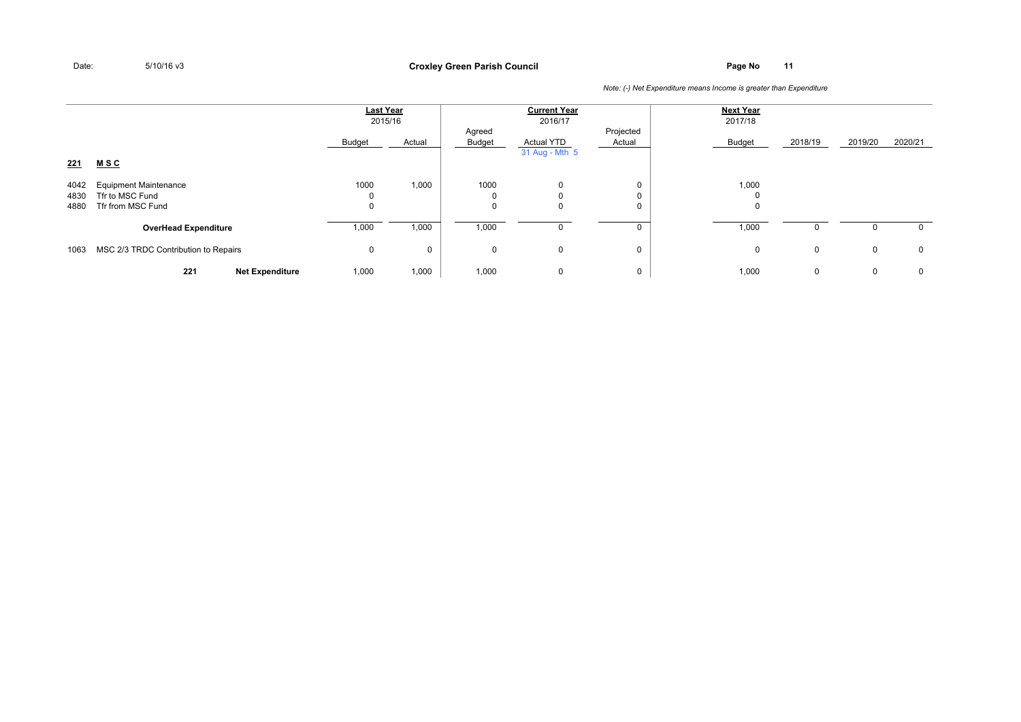**Page No <sup>11</sup> Croxley Green Parish Council**

|                      |                                                                      | <b>Last Year</b><br>2015/16 |        |                  | <b>Current Year</b><br>2016/17 |                     | <b>Next Year</b><br>2017/18 |              |             |              |
|----------------------|----------------------------------------------------------------------|-----------------------------|--------|------------------|--------------------------------|---------------------|-----------------------------|--------------|-------------|--------------|
| <u>221</u>           | <u>MSC</u>                                                           | Budget                      | Actual | Agreed<br>Budget | Actual YTD<br>31 Aug - Mth 5   | Projected<br>Actual | Budget                      | 2018/19      | 2019/20     | 2020/21      |
| 4042<br>4830<br>4880 | <b>Equipment Maintenance</b><br>Tfr to MSC Fund<br>Tfr from MSC Fund | 1000<br>0                   | 1,000  | 1000<br>0<br>0   | 0<br>0<br>0                    | 0<br>U<br>0         | 1,000<br>$\Omega$<br>0      |              |             |              |
|                      | <b>OverHead Expenditure</b>                                          | 1,000                       | 1,000  | 1,000            | $\mathbf{0}$                   | 0                   | 1,000                       | <sup>0</sup> | 0           | $\mathbf{0}$ |
| 1063                 | MSC 2/3 TRDC Contribution to Repairs                                 | 0                           | U      | 0                | 0                              | 0                   | 0                           | $\mathbf{0}$ | $\mathbf 0$ | $\mathbf 0$  |
|                      | 221<br><b>Net Expenditure</b>                                        | 1,000                       | 1,000  | 1,000            | 0                              | 0                   | 1,000                       | $\mathbf{0}$ | 0           | $\mathbf 0$  |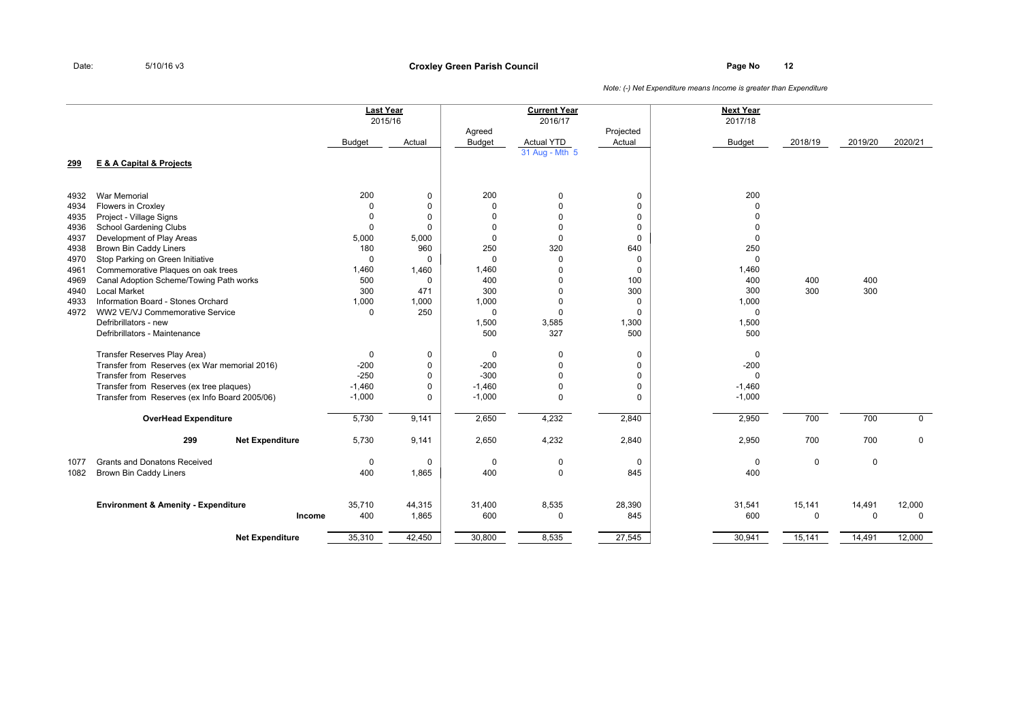### **Page No <sup>12</sup> Croxley Green Parish Council**

|              |                                                           |               | <b>Last Year</b><br>2015/16 |                         | <b>Current Year</b><br>2016/17 |                     | <b>Next Year</b><br>2017/18 |             |             |             |
|--------------|-----------------------------------------------------------|---------------|-----------------------------|-------------------------|--------------------------------|---------------------|-----------------------------|-------------|-------------|-------------|
|              |                                                           | <b>Budget</b> | Actual                      | Agreed<br><b>Budget</b> | <b>Actual YTD</b>              | Projected<br>Actual | <b>Budget</b>               | 2018/19     | 2019/20     | 2020/21     |
| 299          | <b>E &amp; A Capital &amp; Projects</b>                   |               |                             |                         | 31 Aug - Mth 5                 |                     |                             |             |             |             |
| 4932         | <b>War Memorial</b>                                       | 200           | 0                           | 200                     | $\mathbf 0$                    | 0                   | 200                         |             |             |             |
| 4934         | Flowers in Croxley                                        | $\Omega$      | 0                           | $\mathbf 0$             | $\Omega$                       | $\mathbf 0$         | $\Omega$                    |             |             |             |
| 4935         | Project - Village Signs                                   | $\Omega$      | $\Omega$                    | $\Omega$                | $\Omega$                       | $\Omega$            | $\Omega$                    |             |             |             |
| 4936         | School Gardening Clubs                                    | $\mathbf 0$   | $\Omega$                    | $\Omega$                | $\Omega$                       | $\Omega$            | $\Omega$                    |             |             |             |
| 4937         | Development of Play Areas                                 | 5,000         | 5,000                       | $\mathbf 0$             | $\Omega$                       | $\mathbf 0$         | $\Omega$                    |             |             |             |
| 4938         | <b>Brown Bin Caddy Liners</b>                             | 180           | 960                         | 250                     | 320                            | 640                 | 250                         |             |             |             |
| 4970         | Stop Parking on Green Initiative                          | 0             | 0                           | $\Omega$                | $\Omega$                       | 0                   | 0                           |             |             |             |
| 4961         | Commemorative Plaques on oak trees                        | 1,460         | 1,460                       | 1,460                   | $\Omega$                       | $\mathbf 0$         | 1,460                       |             |             |             |
| 4969         | Canal Adoption Scheme/Towing Path works                   | 500<br>300    | $\Omega$                    | 400                     | $\Omega$                       | 100                 | 400                         | 400         | 400         |             |
| 4940<br>4933 | <b>Local Market</b><br>Information Board - Stones Orchard | 1,000         | 471<br>1,000                | 300<br>1,000            | $\Omega$<br>$\Omega$           | 300<br>0            | 300<br>1,000                | 300         | 300         |             |
| 4972         | WW2 VE/VJ Commemorative Service                           | $\mathbf 0$   | 250                         | $\Omega$                | $\Omega$                       | $\Omega$            | $\mathbf 0$                 |             |             |             |
|              | Defribrillators - new                                     |               |                             | 1,500                   | 3,585                          | 1,300               | 1,500                       |             |             |             |
|              | Defribrillators - Maintenance                             |               |                             | 500                     | 327                            | 500                 | 500                         |             |             |             |
|              |                                                           |               |                             |                         |                                |                     |                             |             |             |             |
|              | Transfer Reserves Play Area)                              | 0             | 0                           | $\mathbf 0$             | $\Omega$                       | 0                   | 0                           |             |             |             |
|              | Transfer from Reserves (ex War memorial 2016)             | $-200$        | 0                           | $-200$                  | $\Omega$                       | $\Omega$            | $-200$                      |             |             |             |
|              | <b>Transfer from Reserves</b>                             | $-250$        | 0                           | $-300$                  | $\Omega$                       | $\Omega$            | $\mathbf 0$                 |             |             |             |
|              | Transfer from Reserves (ex tree plaques)                  | $-1,460$      | 0                           | $-1,460$                | $\Omega$                       | 0                   | $-1,460$                    |             |             |             |
|              | Transfer from Reserves (ex Info Board 2005/06)            | $-1,000$      | 0                           | $-1,000$                | $\Omega$                       | $\Omega$            | $-1,000$                    |             |             |             |
|              | <b>OverHead Expenditure</b>                               | 5,730         | 9,141                       | 2,650                   | 4,232                          | 2,840               | 2,950                       | 700         | 700         | $\mathbf 0$ |
|              | 299<br><b>Net Expenditure</b>                             | 5,730         | 9,141                       | 2,650                   | 4,232                          | 2,840               | 2,950                       | 700         | 700         | $\mathbf 0$ |
| 1077         | <b>Grants and Donatons Received</b>                       | $\mathbf 0$   | $\mathbf 0$                 | $\mathbf 0$             | $\Omega$                       | $\mathbf 0$         | $\mathbf 0$                 | $\mathbf 0$ | $\mathbf 0$ |             |
| 1082         | Brown Bin Caddy Liners                                    | 400           | 1,865                       | 400                     | $\Omega$                       | 845                 | 400                         |             |             |             |
|              | <b>Environment &amp; Amenity - Expenditure</b>            | 35,710        | 44,315                      | 31,400                  | 8,535                          | 28,390              | 31,541                      | 15,141      | 14,491      | 12,000      |
|              | Income                                                    | 400           | 1,865                       | 600                     | $\Omega$                       | 845                 | 600                         | 0           | $\mathbf 0$ | $\mathbf 0$ |
|              | <b>Net Expenditure</b>                                    | 35,310        | 42,450                      | 30,800                  | 8,535                          | 27,545              | 30,941                      | 15,141      | 14,491      | 12,000      |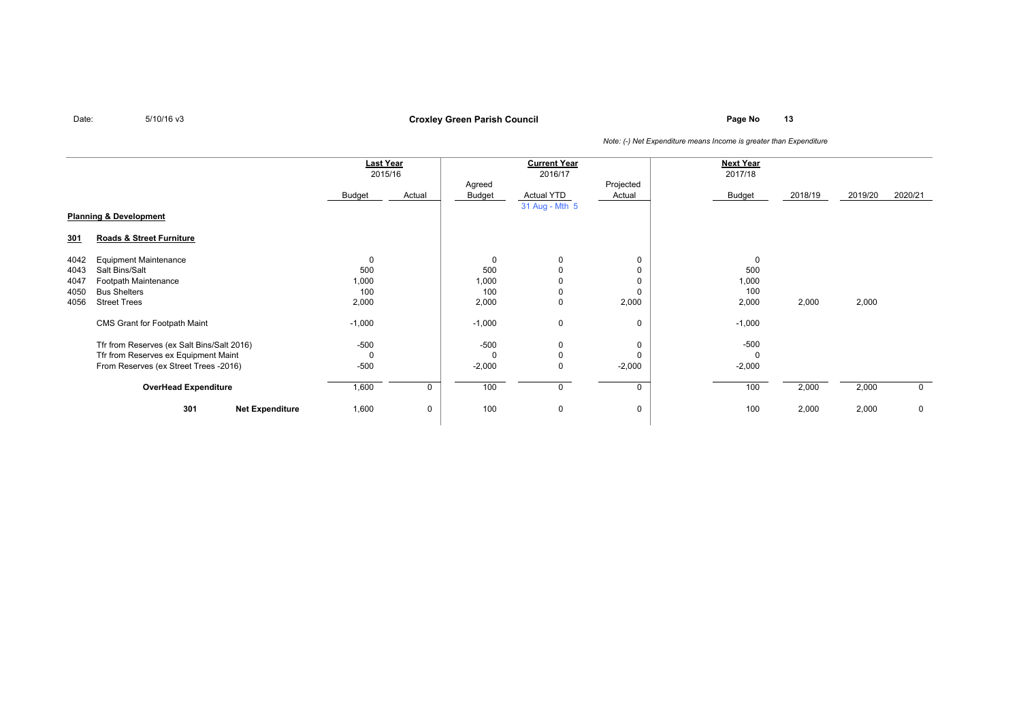**Page No <sup>13</sup> Croxley Green Parish Council**

|            |                                            | <b>Last Year</b><br>2015/16 |        | <b>Current Year</b><br>2016/17 |                   |                     | <b>Next Year</b><br>2017/18 |         |         |         |
|------------|--------------------------------------------|-----------------------------|--------|--------------------------------|-------------------|---------------------|-----------------------------|---------|---------|---------|
|            |                                            | Budget                      | Actual | Agreed<br>Budget               | <b>Actual YTD</b> | Projected<br>Actual | Budget                      | 2018/19 | 2019/20 | 2020/21 |
|            | <b>Planning &amp; Development</b>          |                             |        |                                | 31 Aug - Mth 5    |                     |                             |         |         |         |
| <u>301</u> | Roads & Street Furniture                   |                             |        |                                |                   |                     |                             |         |         |         |
| 4042       | <b>Equipment Maintenance</b>               | 0                           |        | $\mathbf 0$                    | $\mathbf 0$       | 0                   | $\mathbf 0$                 |         |         |         |
| 4043       | Salt Bins/Salt                             | 500                         |        | 500                            | 0                 |                     | 500                         |         |         |         |
| 4047       | Footpath Maintenance                       | 1,000                       |        | 1,000                          | 0                 |                     | 1,000                       |         |         |         |
| 4050       | <b>Bus Shelters</b>                        | 100                         |        | 100                            | 0                 | 0                   | 100                         |         |         |         |
| 4056       | <b>Street Trees</b>                        | 2,000                       |        | 2,000                          | 0                 | 2,000               | 2,000                       | 2,000   | 2,000   |         |
|            | CMS Grant for Footpath Maint               | $-1,000$                    |        | $-1,000$                       | 0                 | 0                   | $-1,000$                    |         |         |         |
|            | Tfr from Reserves (ex Salt Bins/Salt 2016) | $-500$                      |        | $-500$                         | 0                 | 0                   | $-500$                      |         |         |         |
|            | Tfr from Reserves ex Equipment Maint       | 0                           |        | $\Omega$                       | 0                 | 0                   | $\Omega$                    |         |         |         |
|            | From Reserves (ex Street Trees -2016)      | $-500$                      |        | $-2,000$                       | 0                 | $-2,000$            | $-2,000$                    |         |         |         |
|            | <b>OverHead Expenditure</b>                | 1,600                       | 0      | 100                            | 0                 | 0                   | 100                         | 2,000   | 2,000   | 0       |
|            | 301<br><b>Net Expenditure</b>              | 1,600                       | 0      | 100                            | 0                 | 0                   | 100                         | 2,000   | 2,000   | 0       |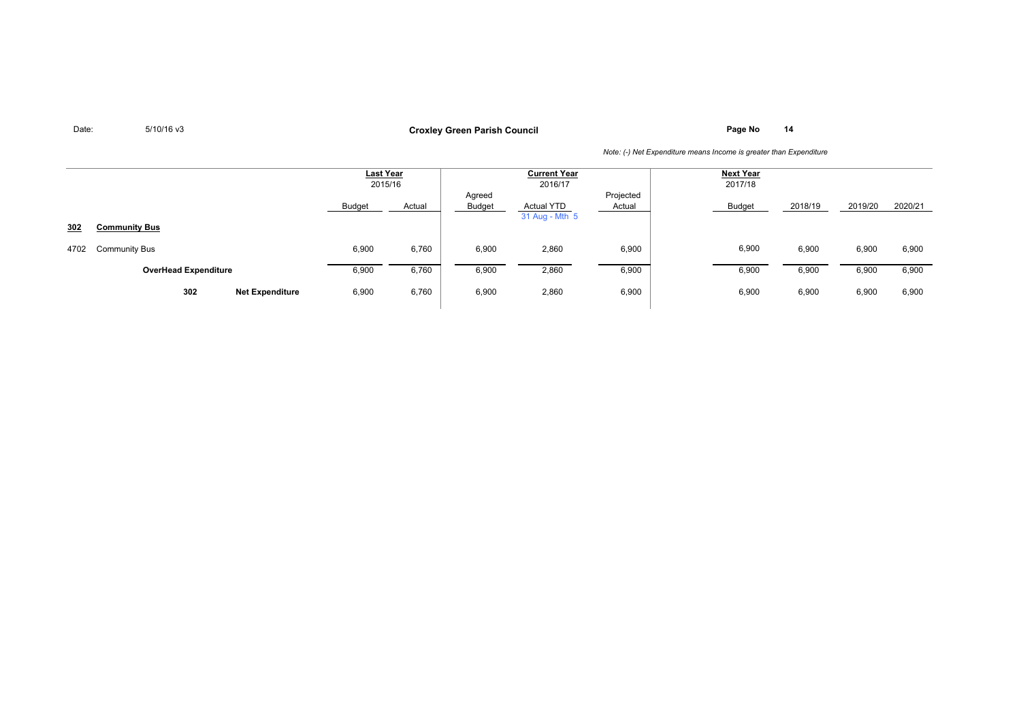**Page No <sup>14</sup> Croxley Green Parish Council**

|      |                               |        | Last Year<br>2015/16 | <b>Current Year</b><br>2016/17 |                                     |                     | <b>Next Year</b><br>2017/18 |         |         |         |
|------|-------------------------------|--------|----------------------|--------------------------------|-------------------------------------|---------------------|-----------------------------|---------|---------|---------|
|      |                               | Budget | Actual               | Agreed<br><b>Budget</b>        | <b>Actual YTD</b><br>31 Aug - Mth 5 | Projected<br>Actual | Budget                      | 2018/19 | 2019/20 | 2020/21 |
| 302  | <b>Community Bus</b>          |        |                      |                                |                                     |                     |                             |         |         |         |
| 4702 | <b>Community Bus</b>          | 6,900  | 6,760                | 6,900                          | 2,860                               | 6,900               | 6,900                       | 6,900   | 6,900   | 6,900   |
|      | <b>OverHead Expenditure</b>   | 6,900  | 6,760                | 6,900                          | 2,860                               | 6,900               | 6,900                       | 6,900   | 6,900   | 6,900   |
|      | 302<br><b>Net Expenditure</b> | 6,900  | 6,760                | 6,900                          | 2,860                               | 6,900               | 6,900                       | 6,900   | 6,900   | 6,900   |